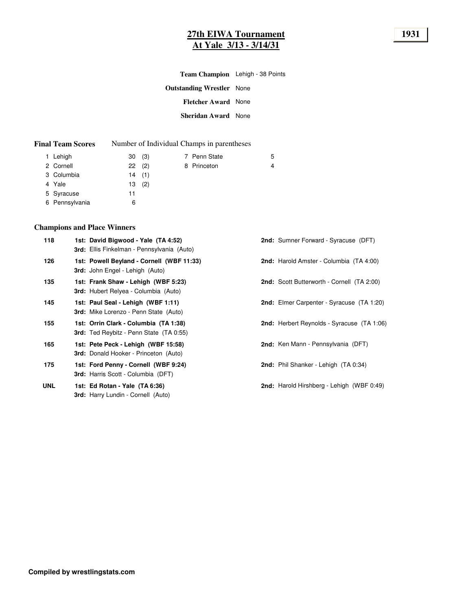## **27th EIWA Tournament 1931 At Yale 3/13 - 3/14/31**

| Team Champion Lehigh - 38 Points |  |
|----------------------------------|--|
| <b>Outstanding Wrestler</b> None |  |
| <b>Fletcher Award</b> None       |  |
| <b>Sheridan Award</b> None       |  |
|                                  |  |

| <b>Final Team Scores</b> |  | Number of Individual Champs in parentheses |
|--------------------------|--|--------------------------------------------|
|--------------------------|--|--------------------------------------------|

| 1 Lehigh       | 30(3) |  | 7 Penn State | 5 |
|----------------|-------|--|--------------|---|
| 2 Cornell      | 22(2) |  | 8 Princeton  | 4 |
| 3 Columbia     | 14(1) |  |              |   |
| 4 Yale         | 13(2) |  |              |   |
| 5 Syracuse     | 11    |  |              |   |
| 6 Pennsylvania | 6     |  |              |   |

# **Champions and Place Winners**

| 118        | 1st: David Bigwood - Yale (TA 4:52)<br><b>3rd:</b> Ellis Finkelman - Pennsylvania (Auto) | <b>2nd:</b> Sumner Forward - Syracuse (DFT)       |
|------------|------------------------------------------------------------------------------------------|---------------------------------------------------|
| 126        | 1st: Powell Beyland - Cornell (WBF 11:33)<br>3rd: John Engel - Lehigh (Auto)             | 2nd: Harold Amster - Columbia (TA 4:00)           |
| 135        | 1st: Frank Shaw - Lehigh (WBF 5:23)<br><b>3rd:</b> Hubert Relyea - Columbia (Auto)       | <b>2nd:</b> Scott Butterworth - Cornell (TA 2:00) |
| 145        | 1st: Paul Seal - Lehigh (WBF 1:11)<br>3rd: Mike Lorenzo - Penn State (Auto)              | 2nd: Elmer Carpenter - Syracuse (TA 1:20)         |
| 155        | 1st: Orrin Clark - Columbia (TA 1:38)<br><b>3rd:</b> Ted Reybitz - Penn State (TA 0:55)  | 2nd: Herbert Reynolds - Syracuse (TA 1:06)        |
| 165        | 1st: Pete Peck - Lehigh (WBF 15:58)<br><b>3rd:</b> Donald Hooker - Princeton (Auto)      | 2nd: Ken Mann - Pennsylvania (DFT)                |
| 175        | 1st: Ford Penny - Cornell (WBF 9:24)<br><b>3rd:</b> Harris Scott - Columbia (DFT)        | 2nd: Phil Shanker - Lehigh (TA 0:34)              |
| <b>UNL</b> | 1st: Ed Rotan - Yale (TA 6:36)<br><b>3rd:</b> Harry Lundin - Cornell (Auto)              | 2nd: Harold Hirshberg - Lehigh (WBF 0:49)         |
|            |                                                                                          |                                                   |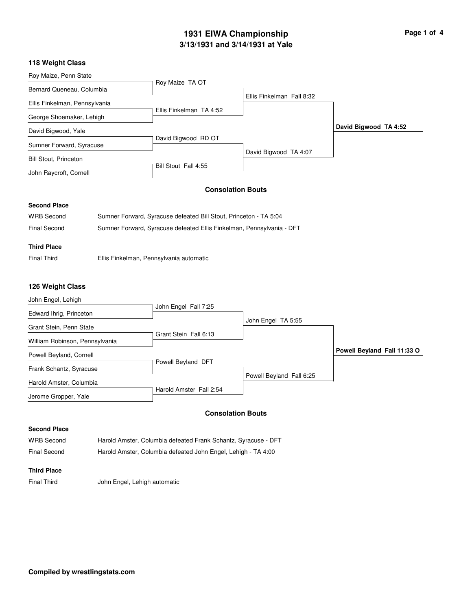# **3/13/1931 and 3/14/1931 at Yale 1931 EIWA Championship Page 1 of 4**

## **118 Weight Class**

| Roy Maize, Penn State         |                         |                           |                       |
|-------------------------------|-------------------------|---------------------------|-----------------------|
|                               | Roy Maize TA OT         |                           |                       |
| Bernard Queneau, Columbia     |                         |                           |                       |
|                               |                         | Ellis Finkelman Fall 8:32 |                       |
| Ellis Finkelman, Pennsylvania |                         |                           |                       |
|                               | Ellis Finkelman TA 4:52 |                           |                       |
| George Shoemaker, Lehigh      |                         |                           |                       |
| David Bigwood, Yale           |                         |                           | David Bigwood TA 4:52 |
|                               | David Bigwood RD OT     |                           |                       |
| Sumner Forward, Syracuse      |                         |                           |                       |
|                               |                         | David Bigwood TA 4:07     |                       |
| <b>Bill Stout, Princeton</b>  |                         |                           |                       |
|                               | Bill Stout Fall 4:55    |                           |                       |
| John Raycroft, Cornell        |                         |                           |                       |

## **Consolation Bouts**

#### **Second Place**

| <b>WRB Second</b>   | Sumner Forward, Syracuse defeated Bill Stout, Princeton - TA 5:04     |
|---------------------|-----------------------------------------------------------------------|
| <b>Final Second</b> | Sumner Forward, Syracuse defeated Ellis Finkelman, Pennsylvania - DFT |

## **Third Place**

Final Third Ellis Finkelman, Pennsylvania automatic

## **126 Weight Class**

| John Engel, Lehigh             |                         |                          |                             |
|--------------------------------|-------------------------|--------------------------|-----------------------------|
|                                | John Engel Fall 7:25    |                          |                             |
| Edward Ihrig, Princeton        |                         |                          |                             |
| Grant Stein, Penn State        |                         | John Engel TA 5:55       |                             |
|                                | Grant Stein Fall 6:13   |                          |                             |
| William Robinson, Pennsylvania |                         |                          |                             |
| Powell Beyland, Cornell        |                         |                          | Powell Beyland Fall 11:33 O |
| Frank Schantz, Syracuse        | Powell Beyland DFT      |                          |                             |
|                                |                         | Powell Beyland Fall 6:25 |                             |
| Harold Amster, Columbia        |                         |                          |                             |
|                                | Harold Amster Fall 2:54 |                          |                             |
| Jerome Gropper, Yale           |                         |                          |                             |
|                                |                         | Consolation Routs        |                             |

#### **Consolation Bouts**

## **Second Place**

| <b>WRB Second</b> | Harold Amster, Columbia defeated Frank Schantz, Syracuse - DFT |
|-------------------|----------------------------------------------------------------|
| Final Second      | Harold Amster, Columbia defeated John Engel, Lehigh - TA 4:00  |

## **Third Place**

Final Third John Engel, Lehigh automatic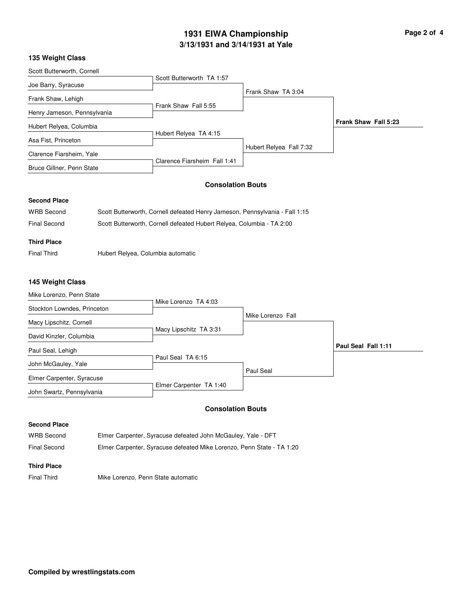# **3/13/1931 and 3/14/1931 at Yale 1931 EIWA Championship Page 2 of 4**

## **135 Weight Class**

| Scott Butterworth, Cornell  |                              |                         |                      |
|-----------------------------|------------------------------|-------------------------|----------------------|
|                             | Scott Butterworth TA 1:57    |                         |                      |
| Joe Barry, Syracuse         |                              |                         |                      |
| Frank Shaw, Lehigh          |                              | Frank Shaw TA 3:04      |                      |
|                             | Frank Shaw Fall 5:55         |                         |                      |
| Henry Jameson, Pennsylvania |                              |                         |                      |
| Hubert Relyea, Columbia     |                              |                         | Frank Shaw Fall 5:23 |
|                             | Hubert Relyea TA 4:15        |                         |                      |
| Asa Fist, Princeton         |                              |                         |                      |
| Clarence Fiarsheim, Yale    |                              | Hubert Relyea Fall 7:32 |                      |
|                             | Clarence Fiarsheim Fall 1:41 |                         |                      |
| Bruce Gillner, Penn State   |                              |                         |                      |
|                             |                              |                         |                      |

## **Consolation Bouts**

## **Second Place**

| WRB Second         | Scott Butterworth, Cornell defeated Henry Jameson, Pennsylvania - Fall 1:15 |
|--------------------|-----------------------------------------------------------------------------|
| Final Second       | Scott Butterworth, Cornell defeated Hubert Relyea, Columbia - TA 2:00       |
| <b>Third Place</b> |                                                                             |
|                    |                                                                             |

Final Third **Hubert Relyea, Columbia automatic** 

## **145 Weight Class**

| Mike Lorenzo, Penn State    |                         |                   |                     |
|-----------------------------|-------------------------|-------------------|---------------------|
| Stockton Lowndes, Princeton | Mike Lorenzo TA 4:03    |                   |                     |
| Macy Lipschitz, Cornell     |                         | Mike Lorenzo Fall |                     |
| David Kinzler, Columbia     | Macy Lipschitz TA 3:31  |                   |                     |
| Paul Seal, Lehigh           |                         |                   | Paul Seal Fall 1:11 |
| John McGauley, Yale         | Paul Seal TA 6:15       |                   |                     |
| Elmer Carpenter, Syracuse   |                         | Paul Seal         |                     |
| John Swartz, Pennsylvania   | Elmer Carpenter TA 1:40 |                   |                     |

### **Consolation Bouts**

#### **Second Place**

WRB Second Elmer Carpenter, Syracuse defeated John McGauley, Yale - DFT Final Second Elmer Carpenter, Syracuse defeated Mike Lorenzo, Penn State - TA 1:20

#### **Third Place**

Final Third Mike Lorenzo, Penn State automatic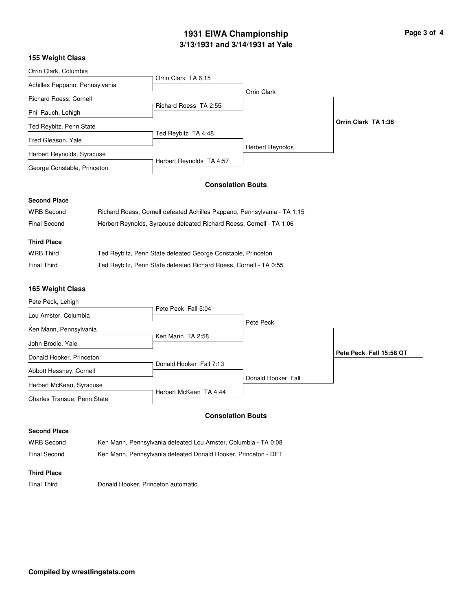# **3/13/1931 and 3/14/1931 at Yale 1931 EIWA Championship Page 3 of 4**

## **155 Weight Class**

| Orrin Clark, Columbia          |                          |                         |                     |
|--------------------------------|--------------------------|-------------------------|---------------------|
|                                | Orrin Clark TA 6:15      |                         |                     |
| Achilles Pappano, Pennsylvania |                          | Orrin Clark             |                     |
| Richard Roess, Cornell         |                          |                         |                     |
| Phil Rauch, Lehigh             | Richard Roess TA 2:55    |                         |                     |
| Ted Reybitz, Penn State        |                          |                         | Orrin Clark TA 1:38 |
| Fred Gleason, Yale             | Ted Reybitz TA 4:48      |                         |                     |
| Herbert Reynolds, Syracuse     |                          | <b>Herbert Reynolds</b> |                     |
| George Constable, Princeton    | Herbert Reynolds TA 4:57 |                         |                     |

## **Consolation Bouts**

## **Second Place**

| <b>WRB Second</b>  | Richard Roess, Cornell defeated Achilles Pappano, Pennsylvania - TA 1:15 |
|--------------------|--------------------------------------------------------------------------|
| Final Second       | Herbert Reynolds, Syracuse defeated Richard Roess, Cornell - TA 1:06     |
|                    |                                                                          |
| <b>Third Place</b> |                                                                          |
| <b>WRB Third</b>   | Ted Reybitz, Penn State defeated George Constable, Princeton             |
| <b>Final Third</b> | Ted Reybitz, Penn State defeated Richard Roess, Cornell - TA 0:55        |

## **165 Weight Class**

| Pete Peck, Lehigh           |                         |                    |                         |
|-----------------------------|-------------------------|--------------------|-------------------------|
|                             | Pete Peck Fall 5:04     |                    |                         |
| Lou Amster, Columbia        |                         |                    |                         |
| Ken Mann, Pennsylvania      |                         | Pete Peck          |                         |
| John Brodie, Yale           | Ken Mann TA 2:58        |                    |                         |
| Donald Hooker, Princeton    |                         |                    | Pete Peck Fall 15:58 OT |
| Abbott Hessney, Cornell     | Donald Hooker Fall 7:13 |                    |                         |
| Herbert McKean, Syracuse    |                         | Donald Hooker Fall |                         |
| Charles Transue, Penn State | Herbert McKean TA 4:44  |                    |                         |

## **Consolation Bouts**

### **Second Place**

| <b>WRB Second</b> | Ken Mann, Pennsylvania defeated Lou Amster, Columbia - TA 0:08 |
|-------------------|----------------------------------------------------------------|
| Final Second      | Ken Mann, Pennsylvania defeated Donald Hooker, Princeton - DFT |

## **Third Place**

Final Third Donald Hooker, Princeton automatic